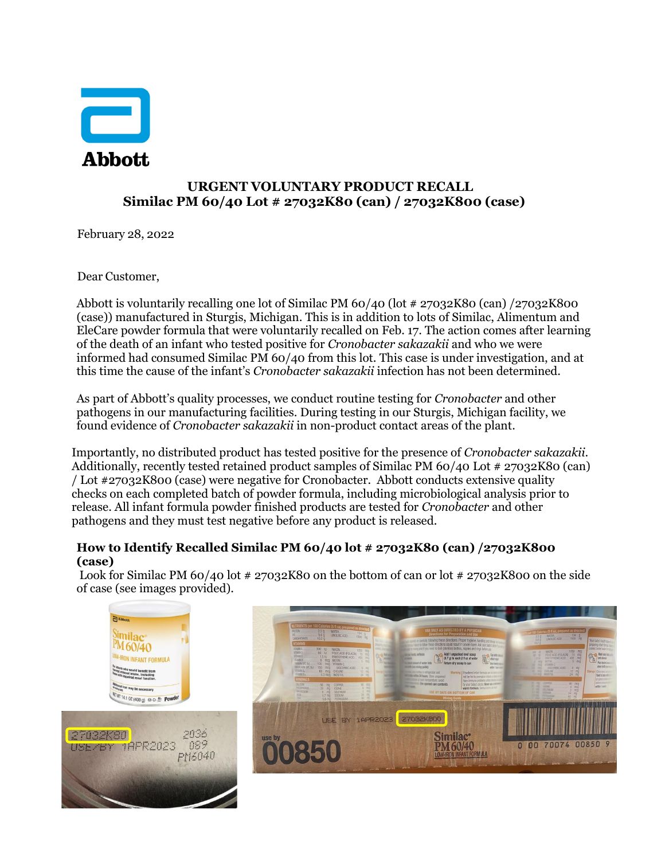

## **URGENT VOLUNTARY PRODUCT RECALL Similac PM 60/40 Lot # 27032K80 (can) / 27032K800 (case)**

February 28, 2022

Dear Customer,

Abbott is voluntarily recalling one lot of Similac PM 60/40 (lot # 27032K80 (can) /27032K800 (case)) manufactured in Sturgis, Michigan. This is in addition to lots of Similac, Alimentum and EleCare powder formula that were voluntarily recalled on Feb. 17. The action comes after learning of the death of an infant who tested positive for *Cronobacter sakazakii* and who we were informed had consumed Similac PM 60/40 from this lot. This case is under investigation, and at this time the cause of the infant's *Cronobacter sakazakii* infection has not been determined.

As part of Abbott's quality processes, we conduct routine testing for *Cronobacter* and other pathogens in our manufacturing facilities. During testing in our Sturgis, Michigan facility, we found evidence of *Cronobacter sakazakii* in non-product contact areas of the plant.

Importantly, no distributed product has tested positive for the presence of *Cronobacter sakazakii*. Additionally, recently tested retained product samples of Similac PM 60/40 Lot # 27032K80 (can) / Lot #27032K800 (case) were negative for Cronobacter. Abbott conducts extensive quality checks on each completed batch of powder formula, including microbiological analysis prior to release. All infant formula powder finished products are tested for *Cronobacter* and other pathogens and they must test negative before any product is released.

## **How to Identify Recalled Similac PM 60/40 lot # 27032K80 (can) /27032K800 (case)**

Look for Similac PM 60/40 lot  $\# 27032K80$  on the bottom of can or lot  $\# 27032K800$  on the side of case (see images provided).